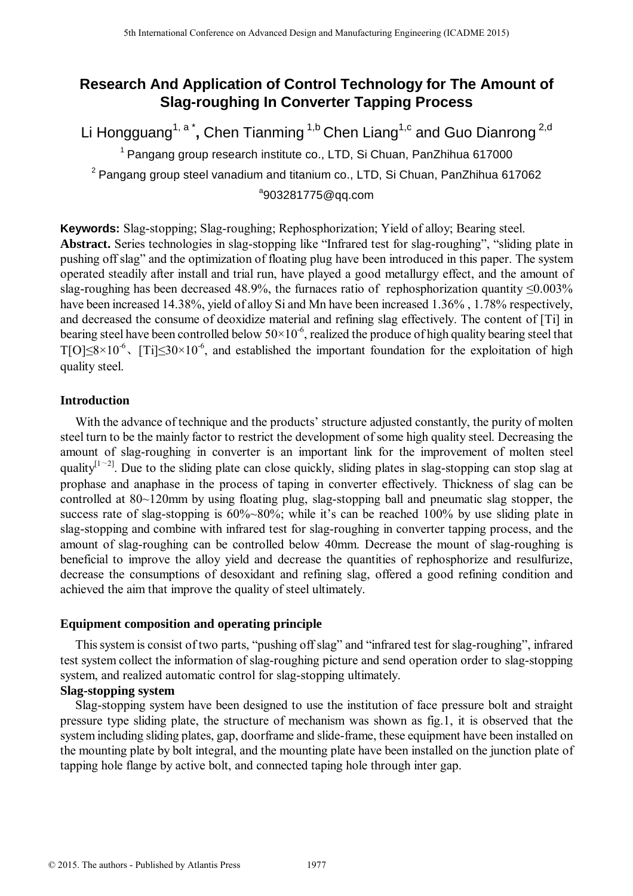# **Research And Application of Control Technology for The Amount of Slag-roughing In Converter Tapping Process**

Li Hongguang<sup>1, a\*</sup>, Chen Tianming <sup>1,b</sup> Chen Liang<sup>1,c</sup> and Guo Dianrong <sup>2,d</sup>

 $1$  Pangang group research institute co., LTD, Si Chuan, PanZhihua 617000 <sup>2</sup> Pangang group steel vanadium and titanium co., LTD, Si Chuan, PanZhihua 617062 <sup>a</sup>903281775@qq.com

**Keywords:** Slag-stopping; Slag-roughing; Rephosphorization; Yield of alloy; Bearing steel. **Abstract.** Series technologies in slag-stopping like "Infrared test for slag-roughing", "sliding plate in pushing off slag" and the optimization of floating plug have been introduced in this paper. The system operated steadily after install and trial run, have played a good metallurgy effect, and the amount of slag-roughing has been decreased 48.9%, the furnaces ratio of rephosphorization quantity  $\leq 0.003\%$ have been increased 14.38%, yield of alloy Si and Mn have been increased 1.36% , 1.78% respectively, and decreased the consume of deoxidize material and refining slag effectively. The content of [Ti] in bearing steel have been controlled below  $50 \times 10^{-6}$ , realized the produce of high quality bearing steel that T[O] $\leq$ 8×10<sup>-6</sup>, [Ti] $\leq$ 30×10<sup>-6</sup>, and established the important foundation for the exploitation of high quality steel.

### **Introduction**

With the advance of technique and the products' structure adjusted constantly, the purity of molten steel turn to be the mainly factor to restrict the development of some high quality steel. Decreasing the amount of slag-roughing in converter is an important link for the improvement of molten steel quality<sup> $[1-2]$ </sup>. Due to the sliding plate can close quickly, sliding plates in slag-stopping can stop slag at prophase and anaphase in the process of taping in converter effectively. Thickness of slag can be controlled at 80~120mm by using floating plug, slag-stopping ball and pneumatic slag stopper, the success rate of slag-stopping is  $60\%~80\%$ ; while it's can be reached 100% by use sliding plate in slag-stopping and combine with infrared test for slag-roughing in converter tapping process, and the amount of slag-roughing can be controlled below 40mm. Decrease the mount of slag-roughing is beneficial to improve the alloy yield and decrease the quantities of rephosphorize and resulfurize, decrease the consumptions of desoxidant and refining slag, offered a good refining condition and achieved the aim that improve the quality of steel ultimately. <sup>516</sup> Lemannia Conference on Advanced Design and Manufacturing Engineering (CADME 114)<br> **Elegaron Conference on Advanced Design and Guaro Diametering Conference on A Conference on A Guaro Diametering Press<br>
Li Honggang ar** 

### **Equipment composition and operating principle**

This system is consist of two parts, "pushing off slag" and "infrared test for slag-roughing", infrared test system collect the information of slag-roughing picture and send operation order to slag-stopping system, and realized automatic control for slag-stopping ultimately.

## **Slag-stopping system**

Slag-stopping system have been designed to use the institution of face pressure bolt and straight pressure type sliding plate, the structure of mechanism was shown as fig.1, it is observed that the system including sliding plates, gap, doorframe and slide-frame, these equipment have been installed on the mounting plate by bolt integral, and the mounting plate have been installed on the junction plate of tapping hole flange by active bolt, and connected taping hole through inter gap.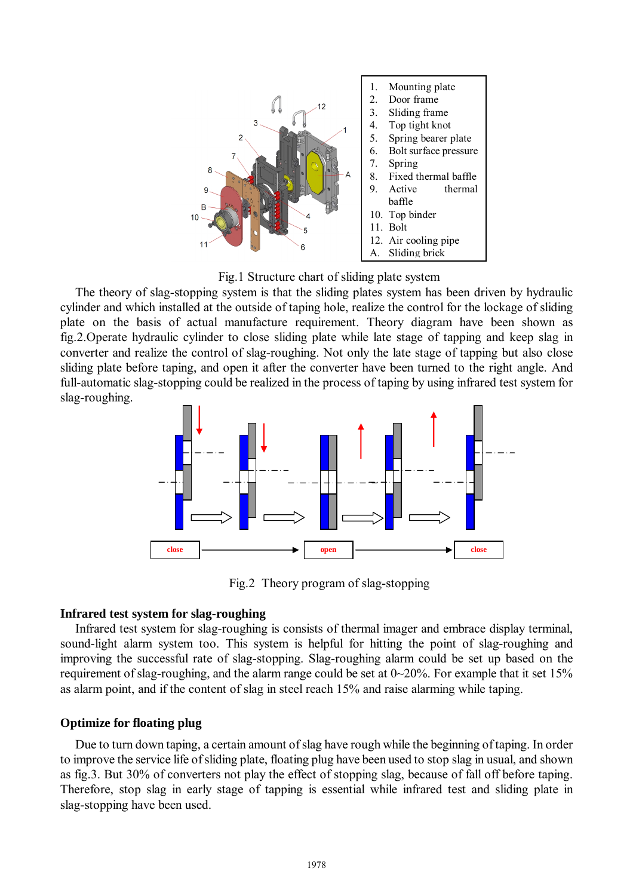

Fig.1 Structure chart of sliding plate system

The theory of slag-stopping system is that the sliding plates system has been driven by hydraulic cylinder and which installed at the outside of taping hole, realize the control for the lockage of sliding plate on the basis of actual manufacture requirement. Theory diagram have been shown as fig.2.Operate hydraulic cylinder to close sliding plate while late stage of tapping and keep slag in converter and realize the control of slag-roughing. Not only the late stage of tapping but also close sliding plate before taping, and open it after the converter have been turned to the right angle. And full-automatic slag-stopping could be realized in the process of taping by using infrared test system for slag-roughing.



Fig.2 Theory program of slag-stopping

### **Infrared test system for slag-roughing**

Infrared test system for slag-roughing is consists of thermal imager and embrace display terminal, sound-light alarm system too. This system is helpful for hitting the point of slag-roughing and improving the successful rate of slag-stopping. Slag-roughing alarm could be set up based on the requirement of slag-roughing, and the alarm range could be set at  $0\nu$ -20%. For example that it set 15% as alarm point, and if the content of slag in steel reach 15% and raise alarming while taping.

### **Optimize for floating plug**

Due to turn down taping, a certain amount of slag have rough while the beginning of taping. In order to improve the service life ofsliding plate, floating plug have been used to stop slag in usual, and shown as fig.3. But 30% of converters not play the effect of stopping slag, because of fall off before taping. Therefore, stop slag in early stage of tapping is essential while infrared test and sliding plate in slag-stopping have been used.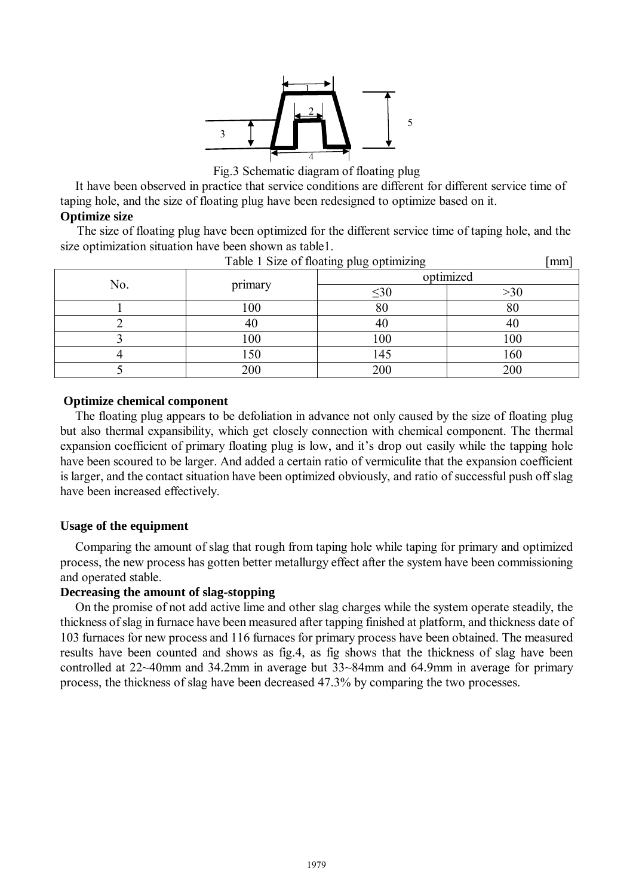

Fig.3 Schematic diagram of floating plug

It have been observed in practice that service conditions are different for different service time of taping hole, and the size of floating plug have been redesigned to optimize based on it.

## **Optimize size**

 The size of floating plug have been optimized for the different service time of taping hole, and the size optimization situation have been shown as table1.

| Table 1 Size of floating plug optimizing |         |           |           |  |  |
|------------------------------------------|---------|-----------|-----------|--|--|
| No.                                      | primary |           | optimized |  |  |
|                                          |         | $\leq 30$ | $>\!\!30$ |  |  |
|                                          | 100     | 80        | 80        |  |  |
|                                          | 40      | 40        | 40        |  |  |
|                                          | 100     | 100       | 100       |  |  |
|                                          | 150     | 145       | 160       |  |  |
|                                          | 200     | 200       | 200       |  |  |

## **Optimize chemical component**

The floating plug appears to be defoliation in advance not only caused by the size of floating plug but also thermal expansibility, which get closely connection with chemical component. The thermal expansion coefficient of primary floating plug is low, and it's drop out easily while the tapping hole have been scoured to be larger. And added a certain ratio of vermiculite that the expansion coefficient is larger, and the contact situation have been optimized obviously, and ratio of successful push off slag have been increased effectively.

## **Usage of the equipment**

Comparing the amount of slag that rough from taping hole while taping for primary and optimized process, the new process has gotten better metallurgy effect after the system have been commissioning and operated stable.

### **Decreasing the amount of slag-stopping**

On the promise of not add active lime and other slag charges while the system operate steadily, the thickness ofslag in furnace have been measured after tapping finished at platform, and thickness date of 103 furnaces for new process and 116 furnaces for primary process have been obtained. The measured results have been counted and shows as fig.4, as fig shows that the thickness of slag have been controlled at 22~40mm and 34.2mm in average but 33~84mm and 64.9mm in average for primary process, the thickness of slag have been decreased 47.3% by comparing the two processes.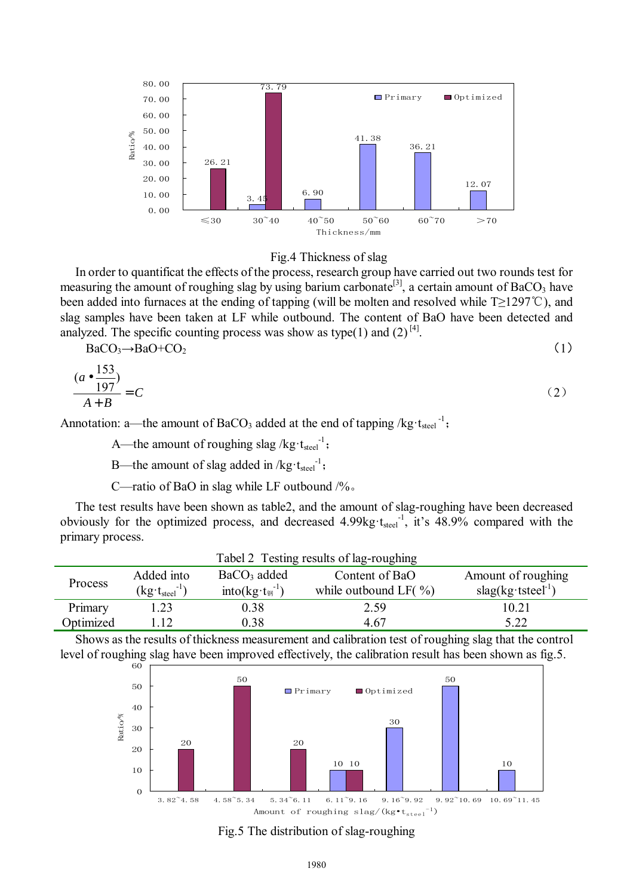



In order to quantificat the effects of the process, research group have carried out two rounds test for measuring the amount of roughing slag by using barium carbonate<sup>[3]</sup>, a certain amount of BaCO<sub>3</sub> have been added into furnaces at the ending of tapping (will be molten and resolved while T≥1297℃), and slag samples have been taken at LF while outbound. The content of BaO have been detected and analyzed. The specific counting process was show as type(1) and (2)<sup>[4]</sup>.

$$
BaCO3\rightarrow BaO+CO2
$$
 (1)

$$
\frac{(a \bullet \frac{153}{197})}{A+B} = C \tag{2}
$$

Annotation: a—the amount of BaCO<sub>3</sub> added at the end of tapping /kg·t<sub>steel</sub><sup>-1</sup>;

A—the amount of roughing slag /kg· $t_{\text{steel}}^{-1}$ ;

B—the amount of slag added in  $/kg \cdot t_{\text{steel}}^{-1}$ ;

C—ratio of BaO in slag while LF outbound /%。

The test results have been shown as table2, and the amount of slag-roughing have been decreased obviously for the optimized process, and decreased  $4.99 \text{kg}\cdot t_{\text{steel}}^{-1}$ , it's  $48.9\%$  compared with the primary process.

| Tabel 2 Testing results of lag-roughing |                                           |                                         |                           |                              |  |  |  |
|-----------------------------------------|-------------------------------------------|-----------------------------------------|---------------------------|------------------------------|--|--|--|
| <b>Process</b>                          | Added into                                | $BaCO3$ added                           | Content of BaO            | Amount of roughing           |  |  |  |
|                                         | -17<br>$(kg \cdot t_{\text{steel}}^{-1})$ | into( $kg \cdot t_{\mathcal{B}}^{-1}$ ) | while outbound LF $(\% )$ | $slag(kg \cdot tsteel^{-1})$ |  |  |  |
| Primary                                 | 1.23                                      | 0.38                                    | 2.59                      | 10.21                        |  |  |  |
| Optimized                               | -12                                       | 0.38                                    | 4 67                      | 5.22                         |  |  |  |

Shows as the results of thickness measurement and calibration test of roughing slag that the control level of roughing slag have been improved effectively, the calibration result has been shown as fig.5.



Fig.5 The distribution of slag-roughing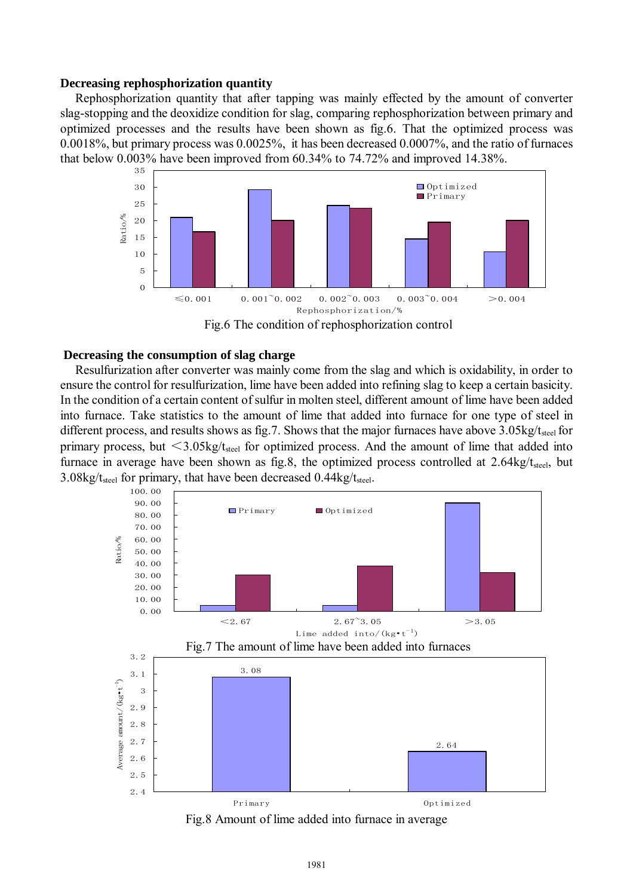#### **Decreasing rephosphorization quantity**

Rephosphorization quantity that after tapping was mainly effected by the amount of converter slag-stopping and the deoxidize condition for slag, comparing rephosphorization between primary and optimized processes and the results have been shown as fig.6. That the optimized process was 0.0018%, but primary process was 0.0025%, it has been decreased 0.0007%, and the ratio of furnaces that below 0.003% have been improved from 60.34% to 74.72% and improved 14.38%.





#### **Decreasing the consumption of slag charge**

Resulfurization after converter was mainly come from the slag and which is oxidability, in order to ensure the control for resulfurization, lime have been added into refining slag to keep a certain basicity. In the condition of a certain content of sulfur in molten steel, different amount of lime have been added into furnace. Take statistics to the amount of lime that added into furnace for one type of steel in different process, and results shows as fig.7. Shows that the major furnaces have above  $3.05\text{kg}/\text{t}_{\text{steel}}$  for primary process, but  $\leq$ 3.05kg/t<sub>steel</sub> for optimized process. And the amount of lime that added into furnace in average have been shown as fig.8, the optimized process controlled at  $2.64\text{kg}/t_{\text{steel}}$ , but 3.08kg/ $t_{\text{steel}}$  for primary, that have been decreased 0.44kg/ $t_{\text{steel}}$ .



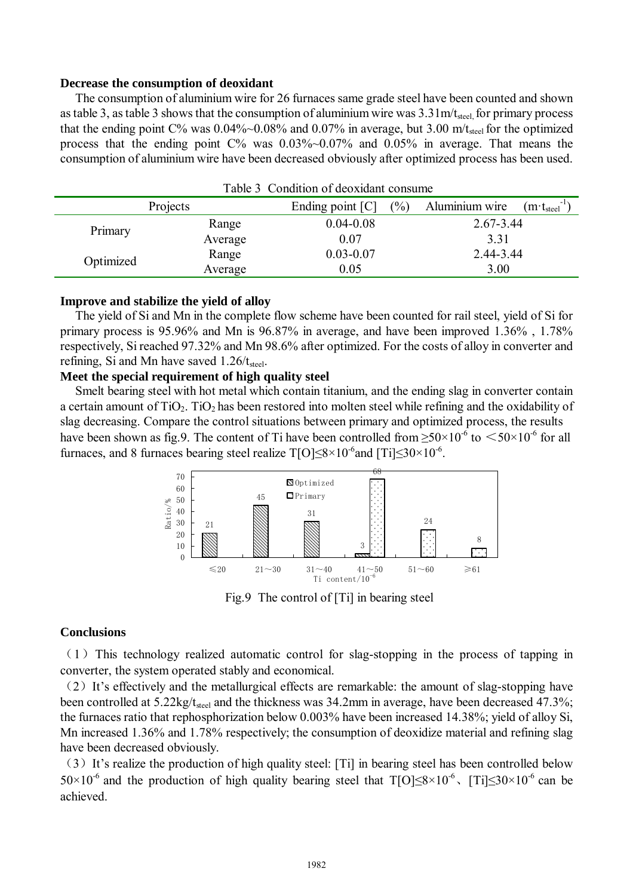#### **Decrease the consumption of deoxidant**

The consumption of aluminium wire for 26 furnaces same grade steel have been counted and shown as table 3, as table 3 shows that the consumption of aluminium wire was  $3.31\text{m}/t_{\text{steel}}$  for primary process that the ending point  $C\%$  was 0.04%~0.08% and 0.07% in average, but 3.00 m/t<sub>steel</sub> for the optimized process that the ending point C% was 0.03%~0.07% and 0.05% in average. That means the consumption of aluminium wire have been decreased obviously after optimized process has been used.

| Table 3 Condition of deoxidant consume |         |                    |     |                |                               |  |  |  |  |
|----------------------------------------|---------|--------------------|-----|----------------|-------------------------------|--|--|--|--|
| Projects                               |         | Ending point $[C]$ | (%) | Aluminium wire | $(m\cdot t_{\rm steel}^{-1})$ |  |  |  |  |
| Primary                                | Range   | $0.04 - 0.08$      |     | $2.67 - 3.44$  |                               |  |  |  |  |
|                                        | Average | 0.07<br>3.31       |     |                |                               |  |  |  |  |
| Optimized                              | Range   | $0.03 - 0.07$      |     | 2.44-3.44      |                               |  |  |  |  |
|                                        | Average | 0.05               |     | 3.00           |                               |  |  |  |  |

#### **Improve and stabilize the yield of alloy**

The yield of Si and Mn in the complete flow scheme have been counted for rail steel, yield of Si for primary process is 95.96% and Mn is 96.87% in average, and have been improved 1.36% , 1.78% respectively, Si reached 97.32% and Mn 98.6% after optimized. For the costs of alloy in converter and refining, Si and Mn have saved  $1.26/t_{\text{steel}}$ .

#### **Meet the special requirement of high quality steel**

Smelt bearing steel with hot metal which contain titanium, and the ending slag in converter contain a certain amount of  $TiO<sub>2</sub>$ . TiO<sub>2</sub> has been restored into molten steel while refining and the oxidability of slag decreasing. Compare the control situations between primary and optimized process, the results have been shown as fig.9. The content of Ti have been controlled from  $\geq 50 \times 10^{-6}$  to  $\leq 50 \times 10^{-6}$  for all furnaces, and 8 furnaces bearing steel realize  $T[O]{\le}8\times10^{-6}$  and  $[Ti]{\le}30\times10^{-6}$ .



Fig.9 The control of [Ti] in bearing steel

#### **Conclusions**

 $(1)$  This technology realized automatic control for slag-stopping in the process of tapping in converter, the system operated stably and economical.

(2)It's effectively and the metallurgical effects are remarkable: the amount of slag-stopping have been controlled at  $5.22 \text{kg}/t_{\text{steel}}$  and the thickness was 34.2mm in average, have been decreased 47.3%; the furnaces ratio that rephosphorization below 0.003% have been increased 14.38%; yield of alloy Si, Mn increased 1.36% and 1.78% respectively; the consumption of deoxidize material and refining slag have been decreased obviously.

(3)It's realize the production of high quality steel: [Ti] in bearing steel has been controlled below  $50\times10^{-6}$  and the production of high quality bearing steel that T[O] $\leq 8\times10^{-6}$ , [Ti] $\leq 30\times10^{-6}$  can be achieved.